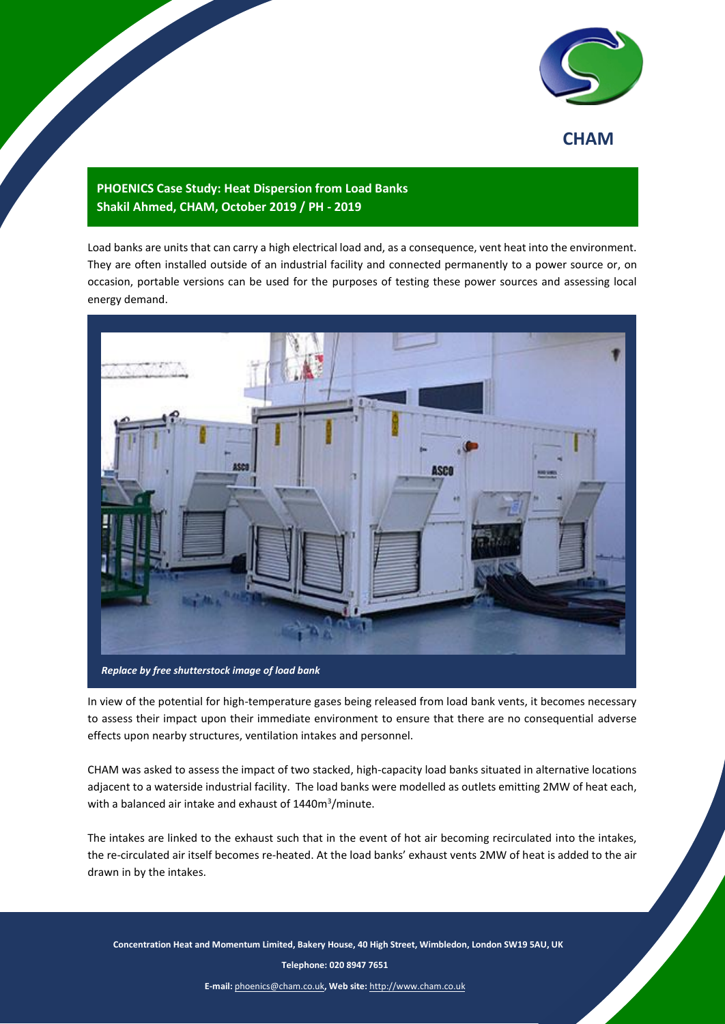

## **CHAM**

## **PHOENICS Case Study: Heat Dispersion from Load Banks Shakil Ahmed, CHAM, October 2019 / PH - 2019**

Load banks are units that can carry a high electrical load and, as a consequence, vent heat into the environment. They are often installed outside of an industrial facility and connected permanently to a power source or, on occasion, portable versions can be used for the purposes of testing these power sources and assessing local energy demand.



In view of the potential for high-temperature gases being released from load bank vents, it becomes necessary to assess their impact upon their immediate environment to ensure that there are no consequential adverse effects upon nearby structures, ventilation intakes and personnel.

CHAM was asked to assess the impact of two stacked, high-capacity load banks situated in alternative locations adjacent to a waterside industrial facility. The load banks were modelled as outlets emitting 2MW of heat each, with a balanced air intake and exhaust of 1440m<sup>3</sup>/minute.

The intakes are linked to the exhaust such that in the event of hot air becoming recirculated into the intakes, the re-circulated air itself becomes re-heated. At the load banks' exhaust vents 2MW of heat is added to the air drawn in by the intakes.

 **Concentration Heat and Momentum Limited, Bakery House, 40 High Street, Wimbledon, London SW19 5AU, UK**

1 **Telephone: 020 8947 7651**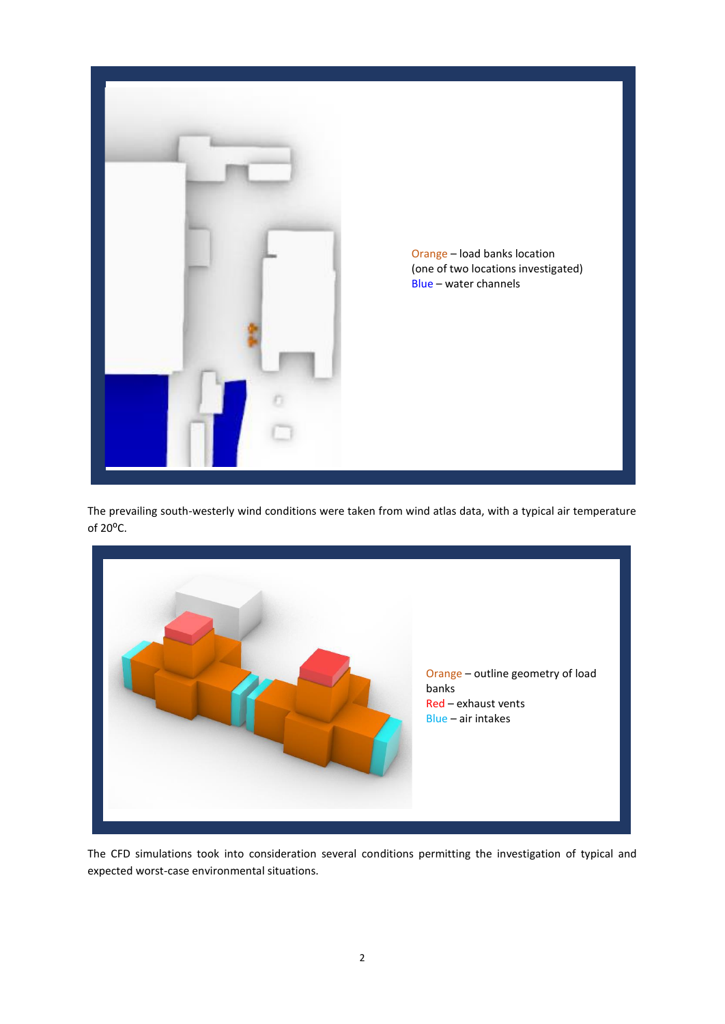

The prevailing south-westerly wind conditions were taken from wind atlas data, with a typical air temperature of 20°C.



The CFD simulations took into consideration several conditions permitting the investigation of typical and expected worst-case environmental situations.